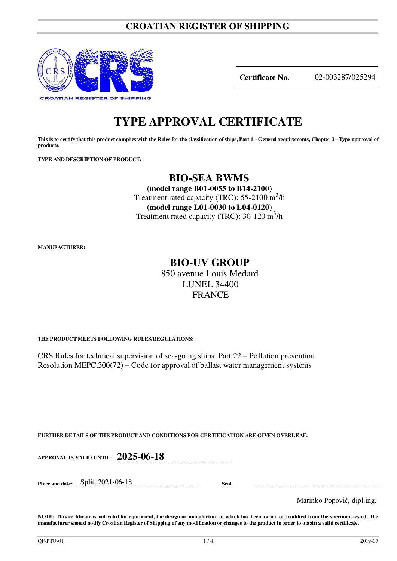## **CROATIAN REGISTER OF SHIPPING**



**Certificate No.** 02-003287/025294

# **TYPE APPROVAL CERTIFICATE**

**This is to certify that this product complies with the Rules for the classification of ships, Part 1 - General requirements, Chapter 3 - Type approval of products.** 

**TYPE AND DESCRIPTION OF PRODUCT:** 

# **BIO-SEA BWMS**

**(model range B01-0055 to B14-2100)**  Treatment rated capacity (TRC): 55-2100 m<sup>3</sup>/h **(model range L01-0030 to L04-0120)**  Treatment rated capacity (TRC): 30-120 m<sup>3</sup>/h

**MANUFACTURER:**

# **BIO-UV GROUP**

850 avenue Louis Medard LUNEL 34400 **FRANCE** 

**THE PRODUCT MEETS FOLLOWING RULES/REGULATIONS:**

CRS Rules for technical supervision of sea-going ships, Part 22 – Pollution prevention Resolution MEPC.300(72) – Code for approval of ballast water management systems

**FURTHER DETAILS OF THE PRODUCT AND CONDITIONS FOR CERTIFICATION ARE GIVEN OVERLEAF.**

**APPROVAL IS VALID UNTIL: 2025-06-18** 

**Place and date:** Split, 2021-06-18 **Seal** 

Marinko Popović, dipl.ing.

**NOTE: This certificate is not valid for equipment, the design or manufacture of which has been varied or modified from the specimen tested. The manufacturer should notify Croatian Register of Shipping of any modification or changes to the product in order to obtain a valid certificate.**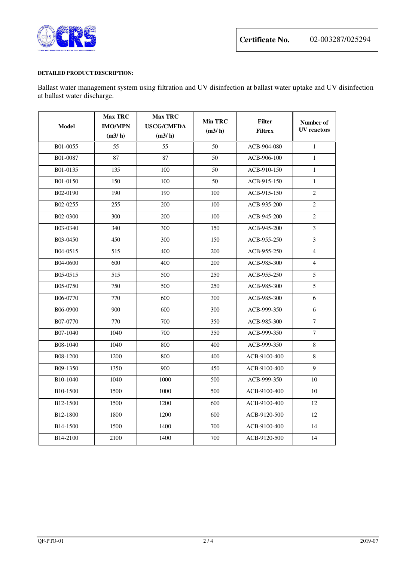

#### **DETAILED PRODUCT DESCRIPTION:**

Ballast water management system using filtration and UV disinfection at ballast water uptake and UV disinfection at ballast water discharge.

| <b>Model</b>          | <b>Max TRC</b><br><b>IMO/MPN</b><br>(m3/h) | <b>Max TRC</b><br><b>USCG/CMFDA</b><br>(m3/h) | <b>Min TRC</b><br>(m3/h) | <b>Filter</b><br><b>Filtrex</b> | Number of<br><b>UV</b> reactors |
|-----------------------|--------------------------------------------|-----------------------------------------------|--------------------------|---------------------------------|---------------------------------|
| B01-0055              | 55                                         | 55                                            | 50                       | ACB-904-080                     | $\mathbf{1}$                    |
| B01-0087              | 87                                         | 87                                            | 50                       | ACB-906-100                     | $\mathbf{1}$                    |
| B01-0135              | 135                                        | 100                                           | 50                       | ACB-910-150                     | $\mathbf{1}$                    |
| B01-0150              | 150                                        | 100                                           | 50                       | ACB-915-150                     | $\mathbf{1}$                    |
| B02-0190              | 190                                        | 190                                           | 100                      | ACB-915-150                     | $\mathbf{2}$                    |
| B02-0255              | 255                                        | 200                                           | 100                      | ACB-935-200                     | $\overline{c}$                  |
| B02-0300              | 300                                        | 200                                           | 100                      | ACB-945-200                     | 2                               |
| B03-0340              | 340                                        | 300                                           | 150                      | ACB-945-200                     | $\overline{3}$                  |
| B03-0450              | 450                                        | 300                                           | 150                      | ACB-955-250                     | 3                               |
| B04-0515              | 515                                        | 400                                           | <b>200</b>               | ACB-955-250                     | $\overline{4}$                  |
| B04-0600              | 600                                        | 400                                           | 200                      | ACB-985-300                     | $\overline{4}$                  |
| B05-0515              | 515                                        | 500                                           | 250                      | ACB-955-250                     | 5                               |
| B05-0750              | 750                                        | 500                                           | 250                      | ACB-985-300                     | 5                               |
| B06-0770              | 770                                        | 600                                           | 300                      | ACB-985-300                     | 6                               |
| B06-0900              | 900                                        | 600                                           | 300                      | ACB-999-350                     | 6                               |
| B07-0770              | 770                                        | 700                                           | 350                      | ACB-985-300                     | $\overline{7}$                  |
| B07-1040              | 1040                                       | 700                                           | 350                      | ACB-999-350                     | $\tau$                          |
| B08-1040              | 1040                                       | 800                                           | 400                      | ACB-999-350                     | $\,8\,$                         |
| B08-1200              | 1200                                       | 800                                           | 400                      | ACB-9100-400                    | 8                               |
| B09-1350              | 1350                                       | 900                                           | 450                      | ACB-9100-400                    | 9                               |
| B <sub>10</sub> -1040 | 1040                                       | 1000                                          | 500                      | ACB-999-350                     | 10                              |
| B10-1500              | 1500                                       | 1000                                          | 500                      | ACB-9100-400                    | 10                              |
| B <sub>12</sub> -1500 | 1500                                       | 1200                                          | 600                      | ACB-9100-400                    | 12                              |
| B12-1800              | 1800                                       | 1200                                          | 600                      | ACB-9120-500                    | 12                              |
| B <sub>14</sub> -1500 | 1500                                       | 1400                                          | 700                      | ACB-9100-400                    | 14                              |
| B <sub>14</sub> -2100 | 2100                                       | 1400                                          | 700                      | ACB-9120-500                    | 14                              |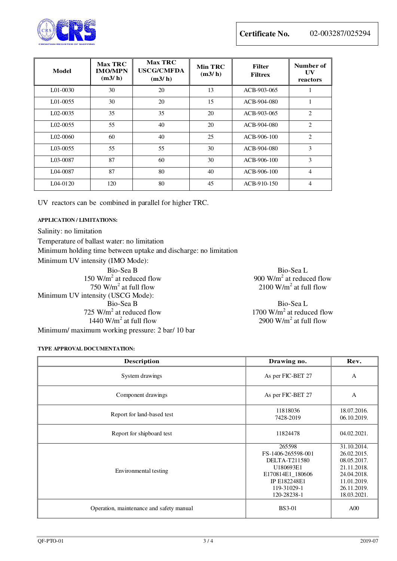

| Model          | <b>Max TRC</b><br><b>IMO/MPN</b><br>(m3/h) | <b>Max TRC</b><br><b>USCG/CMFDA</b><br>(m3/h) | <b>Min TRC</b><br>(m3/h) | <b>Filter</b><br><b>Filtrex</b> | Number of<br>UV<br>reactors |
|----------------|--------------------------------------------|-----------------------------------------------|--------------------------|---------------------------------|-----------------------------|
| L01-0030       | 30                                         | 20                                            | 13                       | ACB-903-065                     |                             |
| $1.01 - 00.55$ | 30                                         | 20                                            | 15                       | ACB-904-080                     |                             |
| $L02-0035$     | 35                                         | 35                                            | 20                       | ACB-903-065                     | 2                           |
| $L02-0055$     | 55                                         | 40                                            | 20                       | ACB-904-080                     | $\overline{2}$              |
| $1.02 - 0060$  | 60                                         | 40                                            | 25                       | $ACB-906-100$                   | 2                           |
| L03-0055       | 55                                         | 55                                            | 30                       | ACB-904-080                     | $\mathbf{3}$                |
| L03-0087       | 87                                         | 60                                            | 30                       | ACB-906-100                     | 3                           |
| L04-0087       | 87                                         | 80                                            | 40                       | $ACB-906-100$                   | 4                           |
| L04-0120       | 120                                        | 80                                            | 45                       | ACB-910-150                     | 4                           |

UV reactors can be combined in parallel for higher TRC.

### **APPLICATION / LIMITATIONS:**

Salinity: no limitation Temperature of ballast water: no limitation Minimum holding time between uptake and discharge: no limitation Minimum UV intensity (IMO Mode): Bio-Sea B Bio-Sea L  $150 \text{ W/m}^2$  at reduced flow 900 W/m<sup>2</sup>  $750 \text{ W/m}^2$  at full flow 2100 W/m<sup>2</sup> Minimum UV intensity (USCG Mode): Bio-Sea B Bio-Sea L  $725 \text{ W/m}^2$  at reduced flow 1700 W/m<sup>2</sup>  $1440 \text{ W/m}^2$  at full flow 2900 W/m<sup>2</sup>

900  $W/m<sup>2</sup>$  at reduced flow  $2100$  W/m<sup>2</sup> at full flow

1700  $W/m<sup>2</sup>$  at reduced flow 2900  $W/m^2$  at full flow

**TYPE APPROVAL DOCUMENTATION:** 

Minimum/ maximum working pressure: 2 bar/ 10 bar

| <b>Description</b>                       | Drawing no.                                                                                                                  | Rev.                                                                                                                 |
|------------------------------------------|------------------------------------------------------------------------------------------------------------------------------|----------------------------------------------------------------------------------------------------------------------|
| System drawings                          | As per FIC-BET 27                                                                                                            | A                                                                                                                    |
| Component drawings                       | As per FIC-BET 27                                                                                                            | A                                                                                                                    |
| Report for land-based test               | 11818036<br>7428-2019                                                                                                        | 18.07.2016.<br>06.10.2019.                                                                                           |
| Report for shipboard test                | 11824478                                                                                                                     | 04.02.2021.                                                                                                          |
| Environmental testing                    | 265598<br>FS-1406-265598-001<br>DELTA-T211580<br>U180693E1<br>E170814E1 180606<br>IP E182248E1<br>119-31029-1<br>120-28238-1 | 31.10.2014.<br>26.02.2015.<br>08.05.2017.<br>21.11.2018.<br>24.04.2018.<br>11.01.2019.<br>26.11.2019.<br>18.03.2021. |
| Operation, maintenance and safety manual | <b>BS3-01</b>                                                                                                                | A00                                                                                                                  |